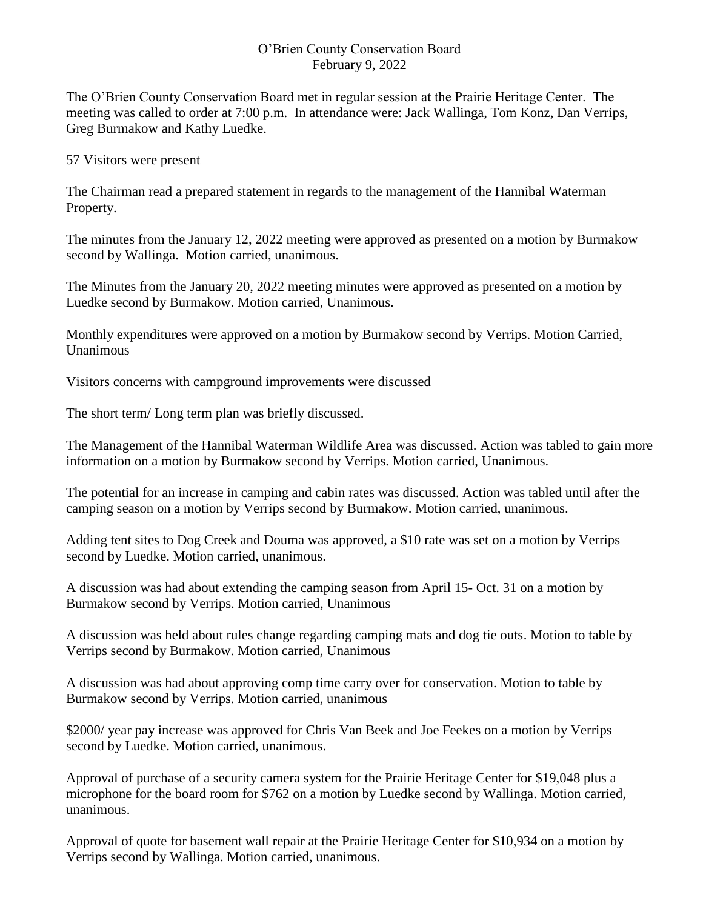## O'Brien County Conservation Board February 9, 2022

The O'Brien County Conservation Board met in regular session at the Prairie Heritage Center. The meeting was called to order at 7:00 p.m. In attendance were: Jack Wallinga, Tom Konz, Dan Verrips, Greg Burmakow and Kathy Luedke.

## 57 Visitors were present

The Chairman read a prepared statement in regards to the management of the Hannibal Waterman Property.

The minutes from the January 12, 2022 meeting were approved as presented on a motion by Burmakow second by Wallinga. Motion carried, unanimous.

The Minutes from the January 20, 2022 meeting minutes were approved as presented on a motion by Luedke second by Burmakow. Motion carried, Unanimous.

Monthly expenditures were approved on a motion by Burmakow second by Verrips. Motion Carried, Unanimous

Visitors concerns with campground improvements were discussed

The short term/ Long term plan was briefly discussed.

The Management of the Hannibal Waterman Wildlife Area was discussed. Action was tabled to gain more information on a motion by Burmakow second by Verrips. Motion carried, Unanimous.

The potential for an increase in camping and cabin rates was discussed. Action was tabled until after the camping season on a motion by Verrips second by Burmakow. Motion carried, unanimous.

Adding tent sites to Dog Creek and Douma was approved, a \$10 rate was set on a motion by Verrips second by Luedke. Motion carried, unanimous.

A discussion was had about extending the camping season from April 15- Oct. 31 on a motion by Burmakow second by Verrips. Motion carried, Unanimous

A discussion was held about rules change regarding camping mats and dog tie outs. Motion to table by Verrips second by Burmakow. Motion carried, Unanimous

A discussion was had about approving comp time carry over for conservation. Motion to table by Burmakow second by Verrips. Motion carried, unanimous

\$2000/ year pay increase was approved for Chris Van Beek and Joe Feekes on a motion by Verrips second by Luedke. Motion carried, unanimous.

Approval of purchase of a security camera system for the Prairie Heritage Center for \$19,048 plus a microphone for the board room for \$762 on a motion by Luedke second by Wallinga. Motion carried, unanimous.

Approval of quote for basement wall repair at the Prairie Heritage Center for \$10,934 on a motion by Verrips second by Wallinga. Motion carried, unanimous.